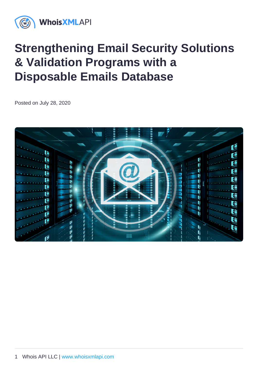# Strengthening Email Security Solutions & Validation Programs with a Disposable Emails Database

Posted on July 28, 2020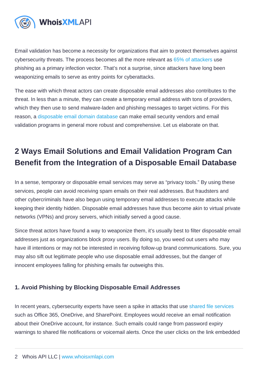Email validation has become a necessity for organizations that aim to protect themselves against cybersecurity threats. The process becomes all the more relevant as [65% of attackers](https://www.phishingbox.com/news/phishing-news/internet-security-threat-report-irst-2019) use phishing as a primary infection vector. That's not a surprise, since attackers have long been weaponizing emails to serve as entry points for cyberattacks.

The ease with which threat actors can create disposable email addresses also contributes to the threat. In less than a minute, they can create a temporary email address with tons of providers, which they then use to send malware-laden and phishing messages to target victims. For this reason, a [disposable email domain database](https://emailverification.whoisxmlapi.com/disposable-email-domains) can make email security vendors and email validation programs in general more robust and comprehensive. Let us elaborate on that.

## 2 Ways Email Solutions and Email Validation Program Can Benefit from the Integration of a Disposable Email Database

In a sense, temporary or disposable email services may serve as "privacy tools." By using these services, people can avoid receiving spam emails on their real addresses. But fraudsters and other cybercriminals have also begun using temporary email addresses to execute attacks while keeping their identity hidden. Disposable email addresses have thus become akin to virtual private networks (VPNs) and proxy servers, which initially served a good cause.

Since threat actors have found a way to weaponize them, it's usually best to filter disposable email addresses just as organizations block proxy users. By doing so, you weed out users who may have ill intentions or may not be interested in receiving follow-up brand communications. Sure, you may also sift out legitimate people who use disposable email addresses, but the danger of innocent employees falling for phishing emails far outweighs this.

#### 1. Avoid Phishing by Blocking Disposable Email Addresses

In recent years, cybersecurity experts have seen a spike in attacks that use [shared file services](https://www.vadesecure.com/en/office-365-phishing-attacks-how-hackers-get-access-to-your-business/) such as Office 365, OneDrive, and SharePoint. Employees would receive an email notification about their OneDrive account, for instance. Such emails could range from password expiry warnings to shared file notifications or voicemail alerts. Once the user clicks on the link embedded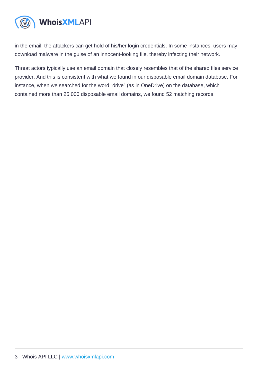in the email, the attackers can get hold of his/her login credentials. In some instances, users may download malware in the guise of an innocent-looking file, thereby infecting their network.

Threat actors typically use an email domain that closely resembles that of the shared files service provider. And this is consistent with what we found in our disposable email domain database. For instance, when we searched for the word "drive" (as in OneDrive) on the database, which contained more than 25,000 disposable email domains, we found 52 matching records.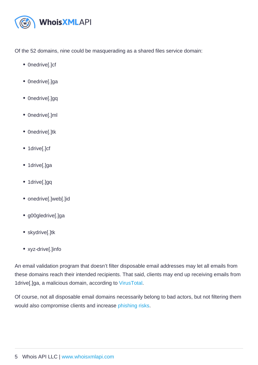Of the 52 domains, nine could be masquerading as a shared files service domain:

- Onedrive[.]cf
- Onedrive[.]ga
- Onedrive[.]gq
- 0nedrive[.]ml
- Onedrive[.]tk
- 1drive[.]cf
- 1drive[.]ga
- 1drive[.]gq
- onedrive[.]web[.]id
- g00gledrive[.]ga
- skydrive[.]tk
- xyz-drive[.]info

An email validation program that doesn't filter disposable email addresses may let all emails from these domains reach their intended recipients. That said, clients may end up receiving emails from 1drive[.]ga, a malicious domain, according to [VirusTotal.](https://www.virustotal.com/gui/url/fb2d1a2854c253e691d639f3271b3ca6ba15e4ea7f02a8186e8be6db62dad164/detection)

Of course, not all disposable email domains necessarily belong to bad actors, but not filtering them would also compromise clients and increase [phishing risks.](https://emailverification.whoisxmlapi.com/blog/email-verification-reduces-phishing)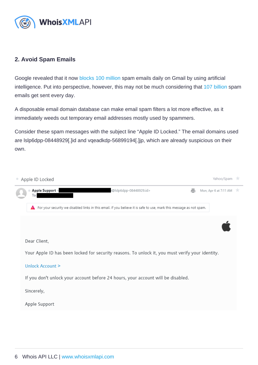#### 2. Avoid Spam Emails

Google revealed that it now [blocks 100 million](https://cloud.google.com/blog/products/g-suite/ridding-gmail-of-100-million-more-spam-messages-with-tensorflow) spam emails daily on Gmail by using artificial intelligence. Put into perspective, however, this may not be much considering that [107 billion](https://techjury.net/stats-about/how-many-emails-are-sent-per-day/) spam emails get sent every day.

A disposable email domain database can make email spam filters a lot more effective, as it immediately weeds out temporary email addresses mostly used by spammers.

Consider these spam messages with the subject line "Apple ID Locked." The email domains used are lslp6dpp-08448929[.]id and vqeadkdp-56899194[.]jp, which are already suspicious on their own.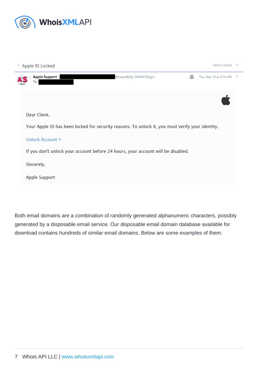Both email domains are a combination of randomly generated alphanumeric characters, possibly generated by a disposable email service. Our disposable email domain database available for download contains hundreds of similar email domains. Below are some examples of them: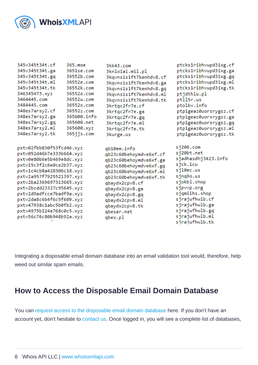Integrating a disposable email domain database into an email validation tool would, therefore, help weed out similar spam emails.

### How to Access the Disposable Email Domain Database

You can [request access to the disposable email domain database](https://emailverification.whoisxmlapi.com/disposable-email-domains) here. If you don't have an account yet, don't hesitate to [contact us.](https://main.whoisxmlapi.com/contact-us) Once logged in, you will see a complete list of databases,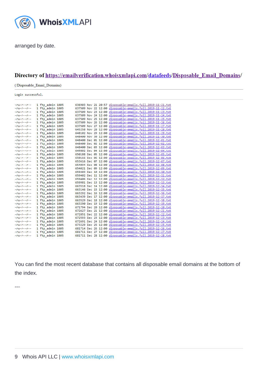arranged by date.

You can find the most recent database that contains all disposable email domains at the bottom of the index.

---